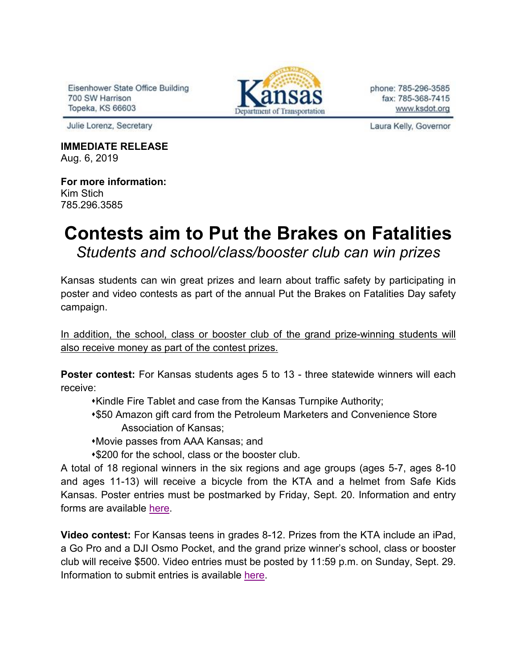Eisenhower State Office Building 700 SW Harrison Topeka, KS 66603



phone: 785-296-3585 fax: 785-368-7415 www.ksdot.org

Julie Lorenz, Secretary

**IMMEDIATE RELEASE** Aug. 6, 2019

**For more information:** Kim Stich 785.296.3585

## **Contests aim to Put the Brakes on Fatalities** *Students and school/class/booster club can win prizes*

Kansas students can win great prizes and learn about traffic safety by participating in poster and video contests as part of the annual Put the Brakes on Fatalities Day safety campaign.

In addition, the school, class or booster club of the grand prize-winning students will also receive money as part of the contest prizes.

**Poster contest:** For Kansas students ages 5 to 13 - three statewide winners will each receive:

- Kindle Fire Tablet and case from the Kansas Turnpike Authority;
- \$50 Amazon gift card from the Petroleum Marketers and Convenience Store Association of Kansas;
- Movie passes from AAA Kansas; and
- \$200 for the school, class or the booster club.

A total of 18 regional winners in the six regions and age groups (ages 5-7, ages 8-10 and ages 11-13) will receive a bicycle from the KTA and a helmet from Safe Kids Kansas. Poster entries must be postmarked by Friday, Sept. 20. Information and entry forms are available [here.](http://www.ksdot.org/Assets/wwwksdotorg/events/brakesonfatalities/2019PBFDPosterContestGOOD.pdf)

**Video contest:** For Kansas teens in grades 8-12. Prizes from the KTA include an iPad, a Go Pro and a DJI Osmo Pocket, and the grand prize winner's school, class or booster club will receive \$500. Video entries must be posted by 11:59 p.m. on Sunday, Sept. 29. Information to submit entries is available [here.](https://www.ksturnpike.com/contests)

Laura Kelly, Governor